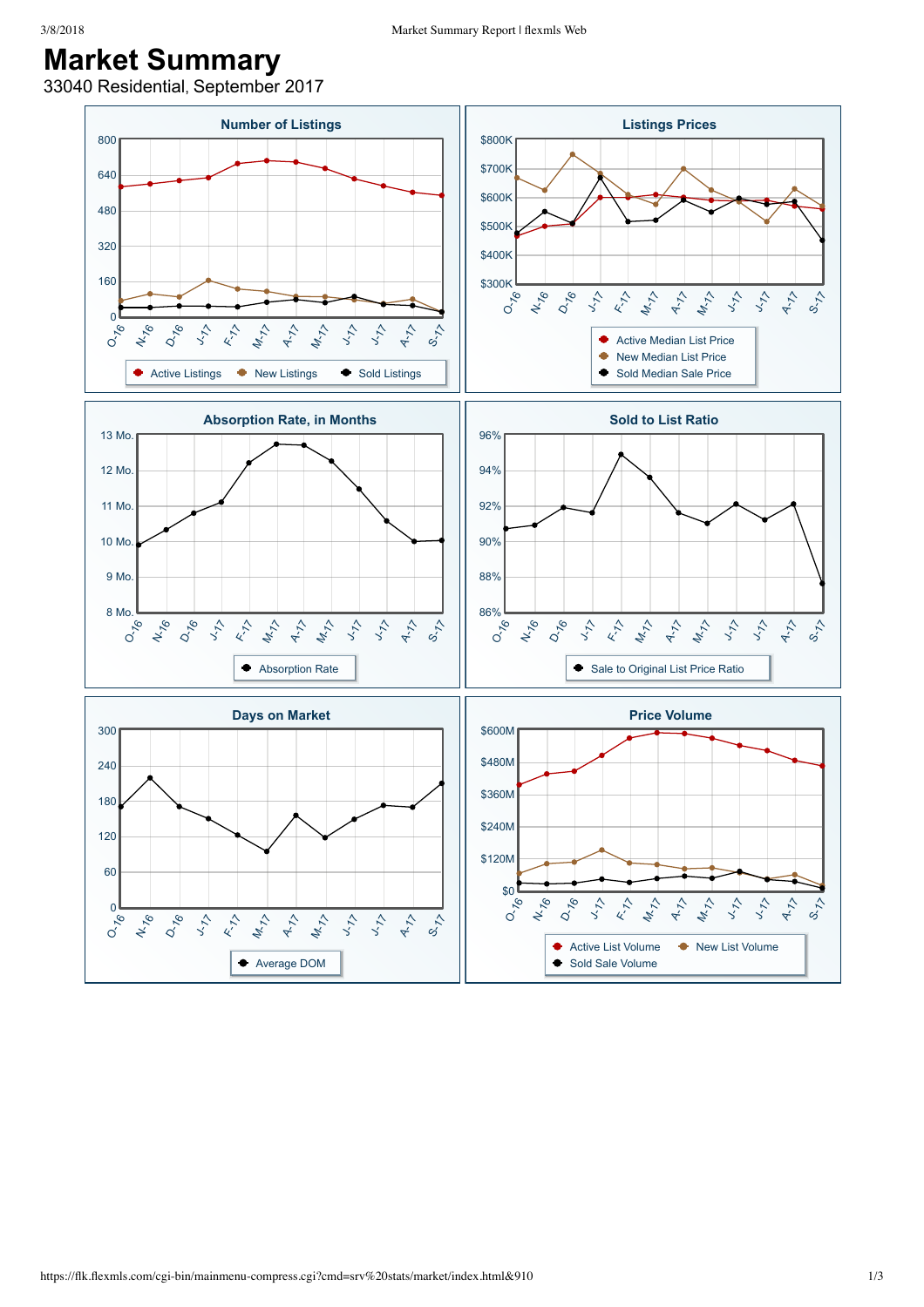## **Market Summary**

33040 Residential, September 2017

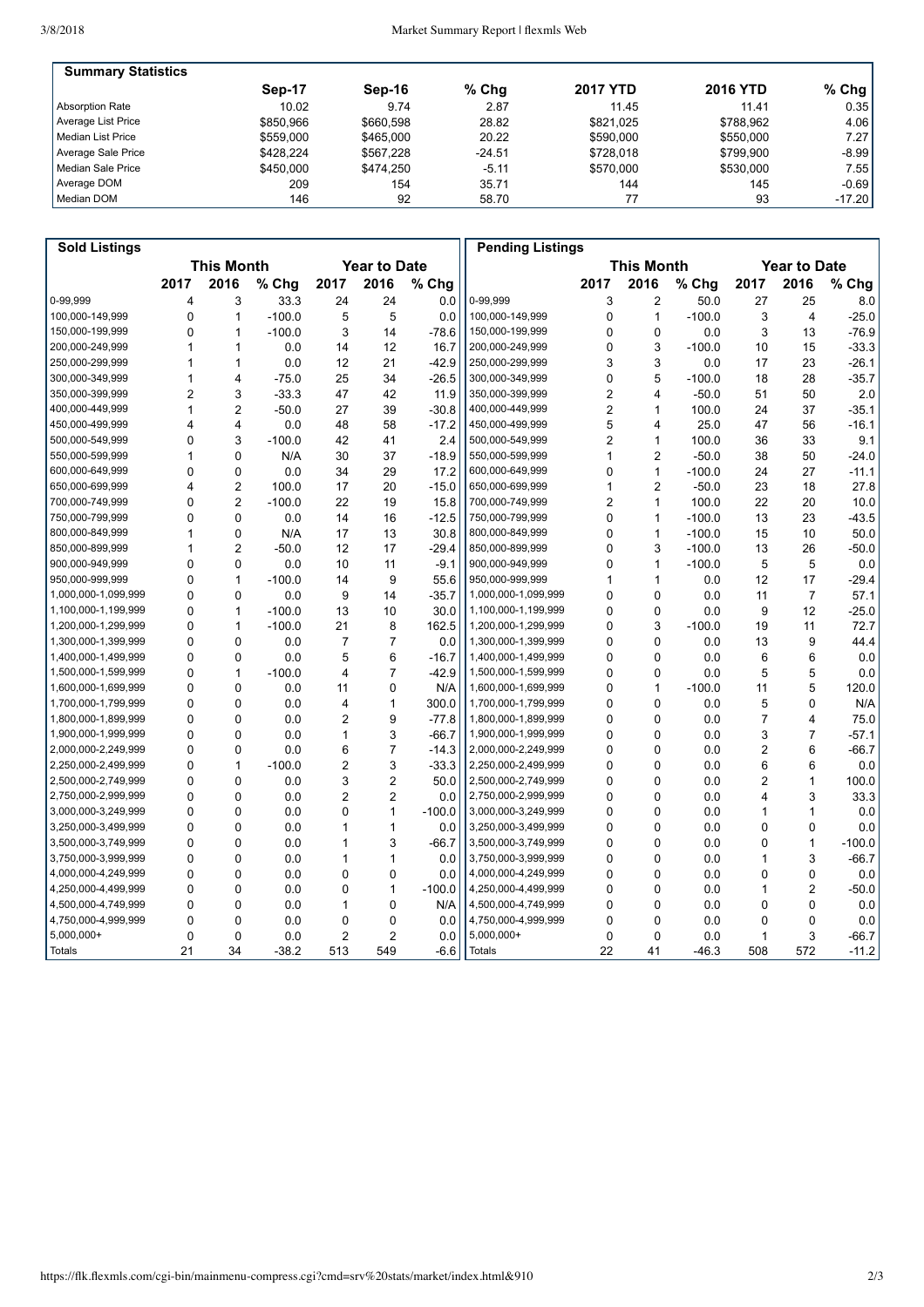| <b>Summary Statistics</b> |           |           |          |                 |                 |          |
|---------------------------|-----------|-----------|----------|-----------------|-----------------|----------|
|                           | Sep-17    | Sep-16    | $%$ Chq  | <b>2017 YTD</b> | <b>2016 YTD</b> | $%$ Chg  |
| <b>Absorption Rate</b>    | 10.02     | 9.74      | 2.87     | 11.45           | 11.41           | 0.35     |
| Average List Price        | \$850.966 | \$660.598 | 28.82    | \$821.025       | \$788.962       | 4.06     |
| Median List Price         | \$559,000 | \$465,000 | 20.22    | \$590,000       | \$550,000       | 7.27     |
| Average Sale Price        | \$428.224 | \$567.228 | $-24.51$ | \$728.018       | \$799.900       | $-8.99$  |
| Median Sale Price         | \$450,000 | \$474.250 | $-5.11$  | \$570,000       | \$530,000       | 7.55     |
| Average DOM               | 209       | 154       | 35.71    | 144             | 145             | $-0.69$  |
| Median DOM                | 146       | 92        | 58.70    |                 | 93              | $-17.20$ |

| <b>Sold Listings</b> |                   |                |          |                     |                |          | <b>Pending Listings</b> |                |                |                   |                |                     |          |
|----------------------|-------------------|----------------|----------|---------------------|----------------|----------|-------------------------|----------------|----------------|-------------------|----------------|---------------------|----------|
|                      | <b>This Month</b> |                |          | <b>Year to Date</b> |                |          |                         |                |                | <b>This Month</b> |                | <b>Year to Date</b> |          |
|                      | 2017              | 2016           | % Chg    | 2017                | 2016           | % Chg    |                         | 2017           | 2016           | % Chg             | 2017           | 2016                | % Chg    |
| 0-99.999             | $\overline{4}$    | 3              | 33.3     | 24                  | 24             | 0.0      | 0-99.999                | 3              | $\overline{c}$ | 50.0              | 27             | 25                  | 8.0      |
| 100,000-149,999      | 0                 | $\mathbf{1}$   | $-100.0$ | 5                   | 5              | 0.0      | 100,000-149,999         | 0              | 1              | $-100.0$          | 3              | 4                   | $-25.0$  |
| 150,000-199,999      | $\mathbf 0$       | $\mathbf{1}$   | $-100.0$ | 3                   | 14             | $-78.6$  | 150,000-199,999         | 0              | $\mathbf 0$    | 0.0               | 3              | 13                  | $-76.9$  |
| 200,000-249,999      | 1                 | 1              | 0.0      | 14                  | 12             | 16.7     | 200,000-249,999         | 0              | 3              | $-100.0$          | 10             | 15                  | $-33.3$  |
| 250,000-299,999      | $\mathbf{1}$      | $\mathbf{1}$   | 0.0      | 12                  | 21             | $-42.9$  | 250,000-299,999         | 3              | 3              | 0.0               | 17             | 23                  | $-26.1$  |
| 300,000-349,999      | 1                 | $\overline{4}$ | $-75.0$  | 25                  | 34             | $-26.5$  | 300,000-349,999         | 0              | 5              | $-100.0$          | 18             | 28                  | $-35.7$  |
| 350,000-399,999      | $\overline{2}$    | 3              | $-33.3$  | 47                  | 42             | 11.9     | 350,000-399,999         | $\overline{c}$ | 4              | $-50.0$           | 51             | 50                  | 2.0      |
| 400,000-449,999      | $\mathbf{1}$      | $\overline{2}$ | $-50.0$  | 27                  | 39             | $-30.8$  | 400,000-449,999         | $\overline{c}$ | 1              | 100.0             | 24             | 37                  | $-35.1$  |
| 450,000-499,999      | $\overline{4}$    | 4              | 0.0      | 48                  | 58             | $-17.2$  | 450,000-499,999         | 5              | 4              | 25.0              | 47             | 56                  | $-16.1$  |
| 500,000-549,999      | $\mathbf{0}$      | 3              | $-100.0$ | 42                  | 41             | 2.4      | 500,000-549,999         | $\overline{c}$ | $\mathbf{1}$   | 100.0             | 36             | 33                  | 9.1      |
| 550,000-599,999      | $\mathbf{1}$      | $\mathbf 0$    | N/A      | 30                  | 37             | $-18.9$  | 550,000-599,999         | 1              | $\overline{c}$ | $-50.0$           | 38             | 50                  | $-24.0$  |
| 600.000-649.999      | $\mathbf 0$       | $\mathbf 0$    | 0.0      | 34                  | 29             | 17.2     | 600.000-649.999         | 0              | $\mathbf{1}$   | $-100.0$          | 24             | 27                  | $-11.1$  |
| 650,000-699,999      | 4                 | $\overline{2}$ | 100.0    | 17                  | 20             | $-15.0$  | 650,000-699,999         | 1              | 2              | $-50.0$           | 23             | 18                  | 27.8     |
| 700,000-749,999      | $\mathbf 0$       | $\overline{2}$ | $-100.0$ | 22                  | 19             | 15.8     | 700,000-749,999         | $\overline{c}$ | $\mathbf{1}$   | 100.0             | 22             | 20                  | 10.0     |
| 750.000-799.999      | $\mathbf{0}$      | $\Omega$       | 0.0      | 14                  | 16             | $-12.5$  | 750.000-799.999         | 0              | 1              | $-100.0$          | 13             | 23                  | $-43.5$  |
| 800,000-849,999      | $\mathbf{1}$      | 0              | N/A      | 17                  | 13             | 30.8     | 800,000-849,999         | 0              | 1              | $-100.0$          | 15             | 10                  | 50.0     |
| 850,000-899,999      | $\mathbf{1}$      | $\overline{2}$ | $-50.0$  | 12                  | 17             | $-29.4$  | 850,000-899,999         | 0              | 3              | $-100.0$          | 13             | 26                  | $-50.0$  |
| 900,000-949,999      | $\Omega$          | $\Omega$       | 0.0      | 10                  | 11             | $-9.1$   | 900,000-949,999         | 0              | 1              | $-100.0$          | 5              | 5                   | 0.0      |
| 950,000-999,999      | $\mathbf 0$       | $\mathbf{1}$   | $-100.0$ | 14                  | 9              | 55.6     | 950,000-999,999         | 1              | 1              | 0.0               | 12             | 17                  | $-29.4$  |
| 1,000,000-1,099,999  | $\Omega$          | $\mathbf 0$    | 0.0      | 9                   | 14             | $-35.7$  | 1,000,000-1,099,999     | 0              | $\mathbf 0$    | 0.0               | 11             | $\overline{7}$      | 57.1     |
| 1,100,000-1,199,999  | $\Omega$          | $\mathbf{1}$   | $-100.0$ | 13                  | 10             | 30.0     | 1,100,000-1,199,999     | $\Omega$       | $\Omega$       | 0.0               | 9              | 12                  | $-25.0$  |
| 1,200,000-1,299,999  | $\mathbf 0$       | 1              | $-100.0$ | 21                  | 8              | 162.5    | 1,200,000-1,299,999     | 0              | 3              | $-100.0$          | 19             | 11                  | 72.7     |
| 1,300,000-1,399,999  | $\mathbf 0$       | $\mathbf 0$    | 0.0      | $\overline{7}$      | $\overline{7}$ | 0.0      | 1,300,000-1,399,999     | 0              | 0              | 0.0               | 13             | 9                   | 44.4     |
| 1,400,000-1,499,999  | $\Omega$          | $\Omega$       | 0.0      | 5                   | 6              | $-16.7$  | 1,400,000-1,499,999     | 0              | 0              | 0.0               | 6              | 6                   | 0.0      |
| 1,500,000-1,599,999  | $\mathbf 0$       | $\mathbf{1}$   | $-100.0$ | 4                   | $\overline{7}$ | $-42.9$  | 1,500,000-1,599,999     | 0              | 0              | 0.0               | 5              | 5                   | 0.0      |
| 1,600,000-1,699,999  | $\mathbf 0$       | $\mathbf 0$    | 0.0      | 11                  | 0              | N/A      | 1,600,000-1,699,999     | 0              | 1              | $-100.0$          | 11             | 5                   | 120.0    |
| 1,700,000-1,799,999  | $\mathbf{0}$      | $\Omega$       | 0.0      | 4                   | $\mathbf{1}$   | 300.0    | 1,700,000-1,799,999     | $\Omega$       | $\Omega$       | 0.0               | 5              | $\Omega$            | N/A      |
| 1,800,000-1,899,999  | $\Omega$          | $\Omega$       | 0.0      | $\overline{2}$      | 9              | $-77.8$  | 1,800,000-1,899,999     | 0              | 0              | 0.0               | $\overline{7}$ | 4                   | 75.0     |
| 1,900,000-1,999,999  | $\Omega$          | $\mathbf 0$    | 0.0      | 1                   | 3              | $-66.7$  | 1,900,000-1,999,999     | 0              | 0              | 0.0               | 3              | $\overline{7}$      | $-57.1$  |
| 2,000,000-2,249,999  | $\Omega$          | $\Omega$       | 0.0      | 6                   | $\overline{7}$ | $-14.3$  | 2,000,000-2,249,999     | 0              | 0              | 0.0               | $\overline{c}$ | 6                   | $-66.7$  |
| 2,250,000-2,499,999  | $\Omega$          | 1              | $-100.0$ | $\overline{2}$      | 3              | $-33.3$  | 2,250,000-2,499,999     | 0              | 0              | 0.0               | 6              | 6                   | 0.0      |
| 2,500,000-2,749,999  | $\mathbf 0$       | $\mathbf 0$    | 0.0      | 3                   | $\overline{2}$ | 50.0     | 2,500,000-2,749,999     | 0              | 0              | 0.0               | 2              | $\mathbf{1}$        | 100.0    |
| 2,750,000-2,999,999  | $\mathbf 0$       | $\mathbf 0$    | 0.0      | $\overline{2}$      | $\overline{2}$ | 0.0      | 2,750,000-2,999,999     | 0              | 0              | 0.0               | 4              | 3                   | 33.3     |
| 3,000,000-3,249,999  | $\Omega$          | $\Omega$       | 0.0      | 0                   | $\mathbf{1}$   | $-100.0$ | 3,000,000-3,249,999     | 0              | 0              | 0.0               | 1              | $\mathbf{1}$        | 0.0      |
| 3,250,000-3,499,999  | $\mathbf 0$       | $\mathbf 0$    | 0.0      | 1                   | 1              | 0.0      | 3,250,000-3,499,999     | 0              | 0              | 0.0               | 0              | $\mathbf 0$         | 0.0      |
| 3,500,000-3,749,999  | $\Omega$          | $\mathbf 0$    | 0.0      | 1                   | 3              | $-66.7$  | 3,500,000-3,749,999     | 0              | 0              | 0.0               | 0              | $\mathbf{1}$        | $-100.0$ |
| 3,750,000-3,999,999  | $\Omega$          | $\Omega$       | 0.0      | 1                   | $\mathbf{1}$   | 0.0      | 3,750,000-3,999,999     | 0              | 0              | 0.0               | 1              | 3                   | $-66.7$  |
| 4,000,000-4,249,999  | $\Omega$          | 0              | 0.0      | $\mathbf{0}$        | $\Omega$       | 0.0      | 4,000,000-4,249,999     | 0              | 0              | 0.0               | 0              | $\mathsf 0$         | 0.0      |
| 4,250,000-4,499,999  | $\mathbf 0$       | $\mathbf 0$    | 0.0      | 0                   | $\mathbf{1}$   | $-100.0$ | 4,250,000-4,499,999     | 0              | 0              | 0.0               | 1              | $\overline{2}$      | $-50.0$  |
| 4,500,000-4,749,999  | $\mathbf 0$       | $\mathbf 0$    | 0.0      | 1                   | $\mathbf 0$    | N/A      | 4,500,000-4,749,999     | 0              | 0              | 0.0               | $\mathbf 0$    | $\mathbf 0$         | 0.0      |
| 4,750,000-4,999,999  | $\Omega$          | $\mathbf 0$    | 0.0      | 0                   | $\mathbf 0$    | 0.0      | 4,750,000-4,999,999     | 0              | 0              | 0.0               | $\mathbf 0$    | $\Omega$            | 0.0      |
| 5,000,000+           | $\mathbf 0$       | $\mathbf 0$    | 0.0      | $\overline{2}$      | $\overline{2}$ | 0.0      | 5,000,000+              | 0              | $\Omega$       | 0.0               | $\mathbf{1}$   | 3                   | $-66.7$  |
| Totals               | 21                | 34             | $-38.2$  | 513                 | 549            | $-6.6$   | <b>Totals</b>           | 22             | 41             | $-46.3$           | 508            | 572                 | $-11.2$  |